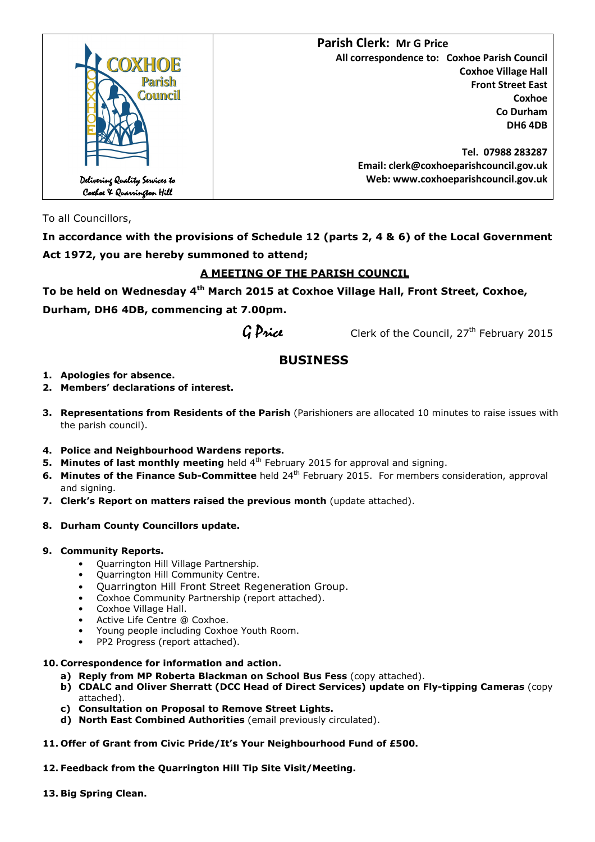

To all Councillors,

**In accordance with the provisions of Schedule 12 (parts 2, 4 & 6) of the Local Government Act 1972, you are hereby summoned to attend;** 

# **A MEETING OF THE PARISH COUNCIL**

**To be held on Wednesday 4th March 2015 at Coxhoe Village Hall, Front Street, Coxhoe,** 

**Durham, DH6 4DB, commencing at 7.00pm.** 

 $G$  *Price* Clerk of the Council, 27<sup>th</sup> February 2015

# **BUSINESS**

- **1. Apologies for absence.**
- **2. Members' declarations of interest.**
- **3. Representations from Residents of the Parish** (Parishioners are allocated 10 minutes to raise issues with the parish council).
- **4. Police and Neighbourhood Wardens reports.**
- **5. Minutes of last monthly meeting** held 4<sup>th</sup> February 2015 for approval and signing.
- **6. Minutes of the Finance Sub-Committee** held 24<sup>th</sup> February 2015. For members consideration, approval and signing.
- **7. Clerk's Report on matters raised the previous month** (update attached).
- **8. Durham County Councillors update.**
- **9. Community Reports.**
	- Quarrington Hill Village Partnership.
	- Quarrington Hill Community Centre.
	- Quarrington Hill Front Street Regeneration Group.
	- Coxhoe Community Partnership (report attached).
	- Coxhoe Village Hall.
	- Active Life Centre @ Coxhoe.
	- Young people including Coxhoe Youth Room.
	- PP2 Progress (report attached).

# **10. Correspondence for information and action.**

- **a) Reply from MP Roberta Blackman on School Bus Fess** (copy attached).
- **b) CDALC and Oliver Sherratt (DCC Head of Direct Services) update on Fly-tipping Cameras** (copy attached).
- **c) Consultation on Proposal to Remove Street Lights.**
- **d) North East Combined Authorities** (email previously circulated).
- **11. Offer of Grant from Civic Pride/It's Your Neighbourhood Fund of £500.**
- **12. Feedback from the Quarrington Hill Tip Site Visit/Meeting.**
- **13. Big Spring Clean.**